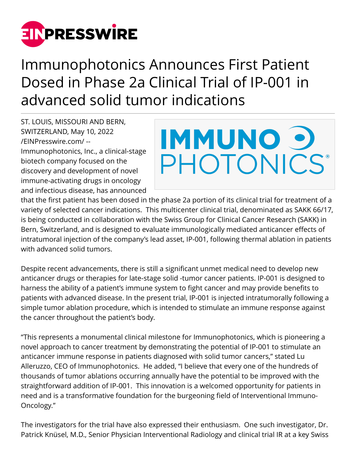

# Immunophotonics Announces First Patient Dosed in Phase 2a Clinical Trial of IP-001 in advanced solid tumor indications

ST. LOUIS, MISSOURI AND BERN, SWITZERLAND, May 10, 2022 [/EINPresswire.com/](http://www.einpresswire.com) -- Immunophotonics, Inc., a clinical-stage biotech company focused on the discovery and development of novel immune-activating drugs in oncology and infectious disease, has announced



that the first patient has been dosed in the phase 2a portion of its clinical trial for treatment of a variety of selected cancer indications. This multicenter clinical trial, denominated as SAKK 66/17, is being conducted in collaboration with the Swiss Group for Clinical Cancer Research (SAKK) in Bern, Switzerland, and is designed to evaluate immunologically mediated anticancer effects of intratumoral injection of the company's lead asset, IP-001, following thermal ablation in patients with advanced solid tumors.

Despite recent advancements, there is still a significant unmet medical need to develop new anticancer drugs or therapies for late-stage solid -tumor cancer patients. IP-001 is designed to harness the ability of a patient's immune system to fight cancer and may provide benefits to patients with advanced disease. In the present trial, IP-001 is injected intratumorally following a simple tumor ablation procedure, which is intended to stimulate an immune response against the cancer throughout the patient's body.

"This represents a monumental clinical milestone for Immunophotonics, which is pioneering a novel approach to cancer treatment by demonstrating the potential of IP-001 to stimulate an anticancer immune response in patients diagnosed with solid tumor cancers," stated Lu Alleruzzo, CEO of Immunophotonics. He added, "I believe that every one of the hundreds of thousands of tumor ablations occurring annually have the potential to be improved with the straightforward addition of IP-001. This innovation is a welcomed opportunity for patients in need and is a transformative foundation for the burgeoning field of Interventional Immuno-Oncology."

The investigators for the trial have also expressed their enthusiasm. One such investigator, Dr. Patrick Knüsel, M.D., Senior Physician Interventional Radiology and clinical trial IR at a key Swiss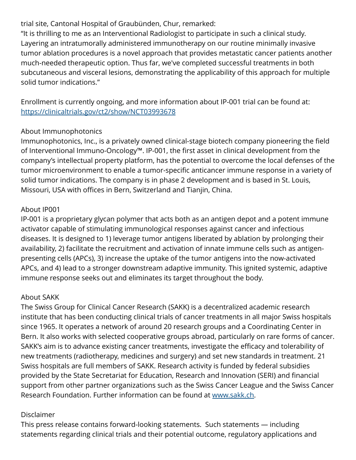## trial site, Cantonal Hospital of Graubünden, Chur, remarked:

"It is thrilling to me as an Interventional Radiologist to participate in such a clinical study. Layering an intratumorally administered immunotherapy on our routine minimally invasive tumor ablation procedures is a novel approach that provides metastatic cancer patients another much-needed therapeutic option. Thus far, we've completed successful treatments in both subcutaneous and visceral lesions, demonstrating the applicability of this approach for multiple solid tumor indications."

Enrollment is currently ongoing, and more information about IP-001 trial can be found at: <https://clinicaltrials.gov/ct2/show/NCT03993678>

### About Immunophotonics

Immunophotonics, Inc., is a privately owned clinical-stage biotech company pioneering the field of Interventional Immuno-Oncology™. IP-001, the first asset in clinical development from the company's intellectual property platform, has the potential to overcome the local defenses of the tumor microenvironment to enable a tumor-specific anticancer immune response in a variety of solid tumor indications. The company is in phase 2 development and is based in St. Louis, Missouri, USA with offices in Bern, Switzerland and Tianjin, China.

### About IP001

IP-001 is a proprietary glycan polymer that acts both as an antigen depot and a potent immune activator capable of stimulating immunological responses against cancer and infectious diseases. It is designed to 1) leverage tumor antigens liberated by ablation by prolonging their availability, 2) facilitate the recruitment and activation of innate immune cells such as antigenpresenting cells (APCs), 3) increase the uptake of the tumor antigens into the now-activated APCs, and 4) lead to a stronger downstream adaptive immunity. This ignited systemic, adaptive immune response seeks out and eliminates its target throughout the body.

### About SAKK

The Swiss Group for Clinical Cancer Research (SAKK) is a decentralized academic research institute that has been conducting clinical trials of cancer treatments in all major Swiss hospitals since 1965. It operates a network of around 20 research groups and a Coordinating Center in Bern. It also works with selected cooperative groups abroad, particularly on rare forms of cancer. SAKK's aim is to advance existing cancer treatments, investigate the efficacy and tolerability of new treatments (radiotherapy, medicines and surgery) and set new standards in treatment. 21 Swiss hospitals are full members of SAKK. Research activity is funded by federal subsidies provided by the State Secretariat for Education, Research and Innovation (SERI) and financial support from other partner organizations such as the Swiss Cancer League and the Swiss Cancer Research Foundation. Further information can be found at [www.sakk.ch](http://www.sakk.ch).

### Disclaimer

This press release contains forward-looking statements. Such statements — including statements regarding clinical trials and their potential outcome, regulatory applications and